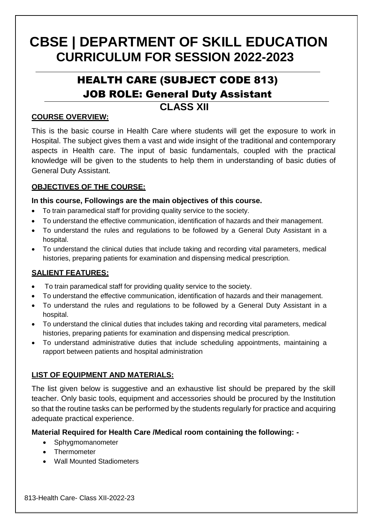# **CBSE | DEPARTMENT OF SKILL EDUCATION CURRICULUM FOR SESSION 2022-2023**

## HEALTH CARE (SUBJECT CODE 813) JOB ROLE: General Duty Assistant

### **CLASS XII**

#### **COURSE OVERVIEW:**

This is the basic course in Health Care where students will get the exposure to work in Hospital. The subject gives them a vast and wide insight of the traditional and contemporary aspects in Health care. The input of basic fundamentals, coupled with the practical knowledge will be given to the students to help them in understanding of basic duties of General Duty Assistant.

#### **OBJECTIVES OF THE COURSE:**

#### **In this course, Followings are the main objectives of this course.**

- To train paramedical staff for providing quality service to the society.
- To understand the effective communication, identification of hazards and their management.
- To understand the rules and regulations to be followed by a General Duty Assistant in a hospital.
- To understand the clinical duties that include taking and recording vital parameters, medical histories, preparing patients for examination and dispensing medical prescription.

#### **SALIENT FEATURES:**

- To train paramedical staff for providing quality service to the society.
- To understand the effective communication, identification of hazards and their management.
- To understand the rules and regulations to be followed by a General Duty Assistant in a hospital.
- To understand the clinical duties that includes taking and recording vital parameters, medical histories, preparing patients for examination and dispensing medical prescription.
- To understand administrative duties that include scheduling appointments, maintaining a rapport between patients and hospital administration

#### **LIST OF EQUIPMENT AND MATERIALS:**

The list given below is suggestive and an exhaustive list should be prepared by the skill teacher. Only basic tools, equipment and accessories should be procured by the Institution so that the routine tasks can be performed by the students regularly for practice and acquiring adequate practical experience.

#### **Material Required for Health Care /Medical room containing the following: -**

- Sphygmomanometer
- Thermometer
- Wall Mounted Stadiometers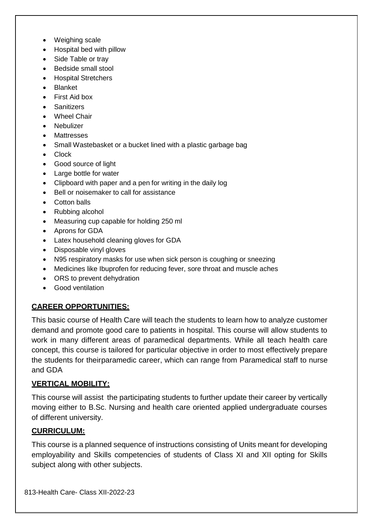- Weighing scale
- Hospital bed with pillow
- Side Table or trav
- **Bedside small stool**
- Hospital Stretchers
- Blanket
- First Aid box
- **Sanitizers**
- Wheel Chair
- Nebulizer
- **Mattresses**
- Small Wastebasket or a bucket lined with a plastic garbage bag
- Clock
- Good source of light
- Large bottle for water
- Clipboard with paper and a pen for writing in the daily log
- Bell or noisemaker to call for assistance
- Cotton balls
- Rubbing alcohol
- Measuring cup capable for holding 250 ml
- Aprons for GDA
- Latex household cleaning gloves for GDA
- Disposable vinyl gloves
- N95 respiratory masks for use when sick person is coughing or sneezing
- Medicines like Ibuprofen for reducing fever, sore throat and muscle aches
- ORS to prevent dehydration
- Good ventilation

#### **CAREER OPPORTUNITIES:**

This basic course of Health Care will teach the students to learn how to analyze customer demand and promote good care to patients in hospital. This course will allow students to work in many different areas of paramedical departments. While all teach health care concept, this course is tailored for particular objective in order to most effectively prepare the students for theirparamedic career, which can range from Paramedical staff to nurse and GDA

#### **VERTICAL MOBILITY:**

This course will assist the participating students to further update their career by vertically moving either to B.Sc. Nursing and health care oriented applied undergraduate courses of different university.

#### **CURRICULUM:**

This course is a planned sequence of instructions consisting of Units meant for developing employability and Skills competencies of students of Class XI and XII opting for Skills subject along with other subjects.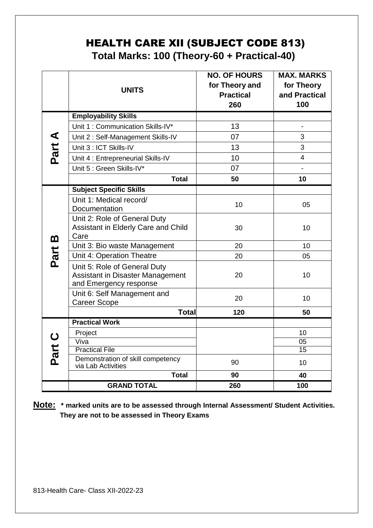### HEALTH CARE XII (SUBJECT CODE 813) **Total Marks: 100 (Theory-60 + Practical-40)**

|                    | <b>UNITS</b>                                                        | <b>NO. OF HOURS</b><br>for Theory and<br><b>Practical</b><br>260 | <b>MAX. MARKS</b><br>for Theory<br>and Practical<br>100 |
|--------------------|---------------------------------------------------------------------|------------------------------------------------------------------|---------------------------------------------------------|
|                    | <b>Employability Skills</b>                                         |                                                                  |                                                         |
|                    | Unit 1: Communication Skills-IV*                                    | 13                                                               |                                                         |
|                    | Unit 2: Self-Management Skills-IV                                   | 07                                                               | 3                                                       |
|                    | Unit 3 : ICT Skills-IV                                              | 13                                                               | 3                                                       |
| Part A             | Unit 4 : Entrepreneurial Skills-IV                                  | 10                                                               | $\overline{4}$                                          |
|                    | Unit 5 : Green Skills-IV*                                           | 07                                                               |                                                         |
|                    | <b>Total</b>                                                        | 50                                                               | 10                                                      |
|                    | <b>Subject Specific Skills</b>                                      |                                                                  |                                                         |
|                    | Unit 1: Medical record/                                             | 10                                                               | 05                                                      |
|                    | Documentation                                                       |                                                                  |                                                         |
|                    | Unit 2: Role of General Duty<br>Assistant in Elderly Care and Child | 30                                                               | 10                                                      |
| m                  | Care                                                                |                                                                  |                                                         |
|                    | Unit 3: Bio waste Management                                        | 20                                                               | 10 <sup>1</sup>                                         |
| Part               | Unit 4: Operation Theatre                                           | 20                                                               | 05                                                      |
|                    | Unit 5: Role of General Duty                                        |                                                                  |                                                         |
|                    | Assistant in Disaster Management<br>and Emergency response          | 20                                                               | 10                                                      |
|                    | Unit 6: Self Management and                                         | 20                                                               | 10                                                      |
|                    | <b>Career Scope</b>                                                 |                                                                  |                                                         |
|                    | <b>Total</b>                                                        | 120                                                              | 50                                                      |
|                    | <b>Practical Work</b>                                               |                                                                  |                                                         |
| $\bigcirc$<br>Part | Project<br>Viva                                                     |                                                                  | 10<br>$\overline{05}$                                   |
|                    | <b>Practical File</b>                                               |                                                                  | $\overline{15}$                                         |
|                    | Demonstration of skill competency                                   | 90                                                               | 10                                                      |
|                    | via Lab Activities<br><b>Total</b>                                  | 90                                                               |                                                         |
|                    | <b>GRAND TOTAL</b>                                                  | 260                                                              | 40<br>100                                               |
|                    |                                                                     |                                                                  |                                                         |

**Note: \* marked units are to be assessed through Internal Assessment/ Student Activities. They are not to be assessed in Theory Exams**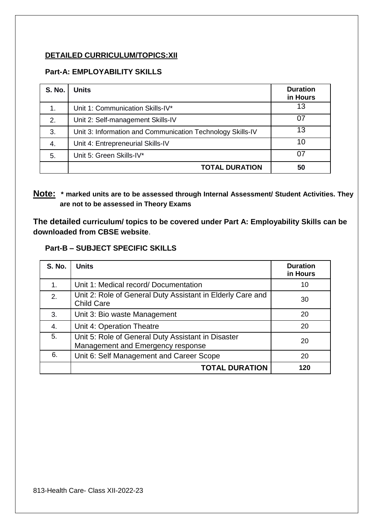#### **DETAILED CURRICULUM/TOPICS:XII**

#### **Part-A: EMPLOYABILITY SKILLS**

| <b>S. No.</b> | <b>Units</b>                                               | <b>Duration</b><br>in Hours |
|---------------|------------------------------------------------------------|-----------------------------|
| 1.            | Unit 1: Communication Skills-IV*                           | 13                          |
| 2.            | Unit 2: Self-management Skills-IV                          | 07                          |
| 3.            | Unit 3: Information and Communication Technology Skills-IV | 13                          |
| 4.            | Unit 4: Entrepreneurial Skills-IV                          | 10                          |
| 5.            | Unit 5: Green Skills-IV*                                   | በ7                          |
|               | <b>TOTAL DURATION</b>                                      | 50                          |

#### **Note: \* marked units are to be assessed through Internal Assessment/ Student Activities. They are not to be assessed in Theory Exams**

**The detailed curriculum/ topics to be covered under Part A: Employability Skills can be downloaded from CBSE website**.

#### **Part-B – SUBJECT SPECIFIC SKILLS**

| <b>S. No.</b> | <b>Units</b>                                                                            | <b>Duration</b><br>in Hours |
|---------------|-----------------------------------------------------------------------------------------|-----------------------------|
| 1.            | Unit 1: Medical record/Documentation                                                    | 10                          |
| 2.            | Unit 2: Role of General Duty Assistant in Elderly Care and<br><b>Child Care</b>         | 30                          |
| 3.            | Unit 3: Bio waste Management                                                            | 20                          |
| 4.            | Unit 4: Operation Theatre                                                               | 20                          |
| 5.            | Unit 5: Role of General Duty Assistant in Disaster<br>Management and Emergency response | 20                          |
| 6.            | Unit 6: Self Management and Career Scope                                                | 20                          |
|               | <b>TOTAL DURATION</b>                                                                   | 120                         |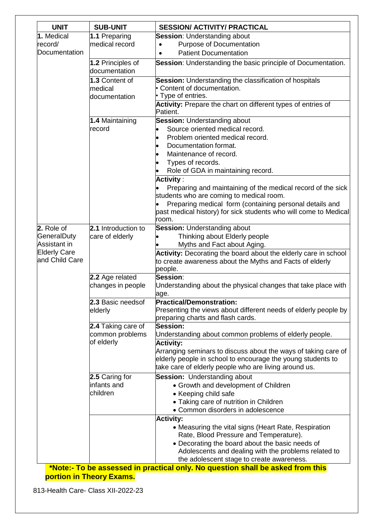| <b>UNIT</b>                           | <b>SUB-UNIT</b>                    | <b>SESSION/ ACTIVITY/ PRACTICAL</b>                                                                                         |
|---------------------------------------|------------------------------------|-----------------------------------------------------------------------------------------------------------------------------|
| 1. Medical                            | 1.1 Preparing                      | Session: Understanding about                                                                                                |
| record/                               | medical record                     | Purpose of Documentation                                                                                                    |
| Documentation                         |                                    | <b>Patient Documentation</b><br>$\bullet$                                                                                   |
|                                       | 1.2 Principles of<br>documentation | Session: Understanding the basic principle of Documentation.                                                                |
|                                       | 1.3 Content of                     | Session: Understanding the classification of hospitals                                                                      |
|                                       | medical<br>documentation           | Content of documentation.                                                                                                   |
|                                       |                                    | • Type of entries.                                                                                                          |
|                                       |                                    | Activity: Prepare the chart on different types of entries of<br>Patient.                                                    |
|                                       | 1.4 Maintaining                    | <b>Session: Understanding about</b>                                                                                         |
|                                       | record                             | Source oriented medical record.                                                                                             |
|                                       |                                    | Problem oriented medical record.                                                                                            |
|                                       |                                    | Documentation format.                                                                                                       |
|                                       |                                    | Maintenance of record.                                                                                                      |
|                                       |                                    | Types of records.<br>Role of GDA in maintaining record.                                                                     |
|                                       |                                    | <b>Activity:</b>                                                                                                            |
|                                       |                                    | Preparing and maintaining of the medical record of the sick                                                                 |
|                                       |                                    | students who are coming to medical room.                                                                                    |
|                                       |                                    | Preparing medical form (containing personal details and                                                                     |
|                                       |                                    | past medical history) for sick students who will come to Medical                                                            |
|                                       |                                    | room.                                                                                                                       |
| 2. Role of                            | 2.1 Introduction to                | <b>Session: Understanding about</b>                                                                                         |
| GeneralDuty                           | care of elderly                    | Thinking about Elderly people                                                                                               |
| Assistant in                          |                                    | Myths and Fact about Aging.                                                                                                 |
| <b>Elderly Care</b><br>and Child Care |                                    | Activity: Decorating the board about the elderly care in school                                                             |
|                                       |                                    | to create awareness about the Myths and Facts of elderly<br>people.                                                         |
|                                       | 2.2 Age related                    | Session:                                                                                                                    |
|                                       | changes in people                  | Understanding about the physical changes that take place with                                                               |
|                                       |                                    | age.                                                                                                                        |
|                                       | 2.3 Basic needsof                  | <b>Practical/Demonstration:</b>                                                                                             |
|                                       | elderly                            | Presenting the views about different needs of elderly people by                                                             |
|                                       |                                    | preparing charts and flash cards.                                                                                           |
|                                       | 2.4 Taking care of                 | Session:                                                                                                                    |
|                                       | common problems<br>of elderly      | Understanding about common problems of elderly people.                                                                      |
|                                       |                                    | <b>Activity:</b><br>Arranging seminars to discuss about the ways of taking care of                                          |
|                                       |                                    | elderly people in school to encourage the young students to                                                                 |
|                                       |                                    | take care of elderly people who are living around us.                                                                       |
|                                       | 2.5 Caring for                     | <b>Session: Understanding about</b>                                                                                         |
|                                       | infants and                        | • Growth and development of Children                                                                                        |
|                                       | children                           | • Keeping child safe                                                                                                        |
|                                       |                                    | • Taking care of nutrition in Children                                                                                      |
|                                       |                                    | • Common disorders in adolescence                                                                                           |
|                                       |                                    | <b>Activity:</b>                                                                                                            |
|                                       |                                    | • Measuring the vital signs (Heart Rate, Respiration                                                                        |
|                                       |                                    | Rate, Blood Pressure and Temperature).                                                                                      |
|                                       |                                    | • Decorating the board about the basic needs of                                                                             |
|                                       |                                    | Adolescents and dealing with the problems related to                                                                        |
|                                       |                                    | the adolescent stage to create awareness.<br>*Note:- To be assessed in practical only. No question shall be asked from this |

**portion in Theory Exams.**

813-Health Care- Class XII-2022-23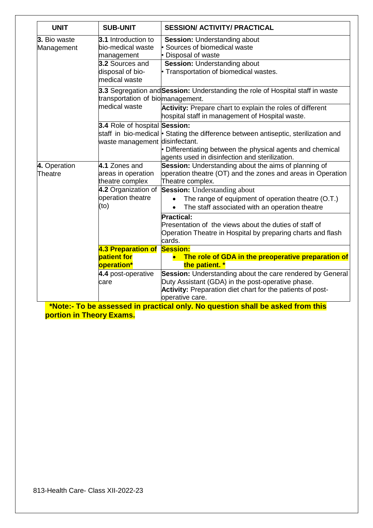| <b>UNIT</b>                | <b>SUB-UNIT</b>                                                                                                | <b>SESSION/ ACTIVITY/ PRACTICAL</b>                                                                                                                                                                    |
|----------------------------|----------------------------------------------------------------------------------------------------------------|--------------------------------------------------------------------------------------------------------------------------------------------------------------------------------------------------------|
| 3. Bio waste<br>Management | 3.1 Introduction to<br>bio-medical waste<br>management<br>3.2 Sources and<br>disposal of bio-<br>medical waste | <b>Session: Understanding about</b><br>Sources of biomedical waste<br>• Disposal of waste<br><b>Session: Understanding about</b><br>• Transportation of biomedical wastes.                             |
|                            | transportation of biomanagement.<br>medical waste                                                              | 3.3 Segregation and Session: Understanding the role of Hospital staff in waste<br>Activity: Prepare chart to explain the roles of different                                                            |
|                            |                                                                                                                | hospital staff in management of Hospital waste.                                                                                                                                                        |
|                            | 3.4 Role of hospital Session:<br>waste management disinfectant.                                                | staff in bio-medical • Stating the difference between antiseptic, sterilization and<br>• Differentiating between the physical agents and chemical                                                      |
| 4. Operation<br>Theatre    | 4.1 Zones and<br>areas in operation<br>theatre complex                                                         | agents used in disinfection and sterilization.<br>Session: Understanding about the aims of planning of<br>operation theatre (OT) and the zones and areas in Operation<br>Theatre complex.              |
|                            | 4.2 Organization of<br>operation theatre<br>(to)                                                               | <b>Session:</b> Understanding about<br>The range of equipment of operation theatre (O.T.)<br>The staff associated with an operation theatre                                                            |
|                            |                                                                                                                | <b>Practical:</b><br>Presentation of the views about the duties of staff of<br>Operation Theatre in Hospital by preparing charts and flash<br>cards.                                                   |
|                            | 4.3 Preparation of                                                                                             | <b>Session:</b>                                                                                                                                                                                        |
|                            | patient for<br>operation*                                                                                      | The role of GDA in the preoperative preparation of<br>the patient. *                                                                                                                                   |
|                            | 4.4 post-operative<br>care                                                                                     | Session: Understanding about the care rendered by General<br>Duty Assistant (GDA) in the post-operative phase.<br><b>Activity:</b> Preparation diet chart for the patients of post-<br>operative care. |

**\*Note:- To be assessed in practical only. No question shall be asked from this portion in Theory Exams.**